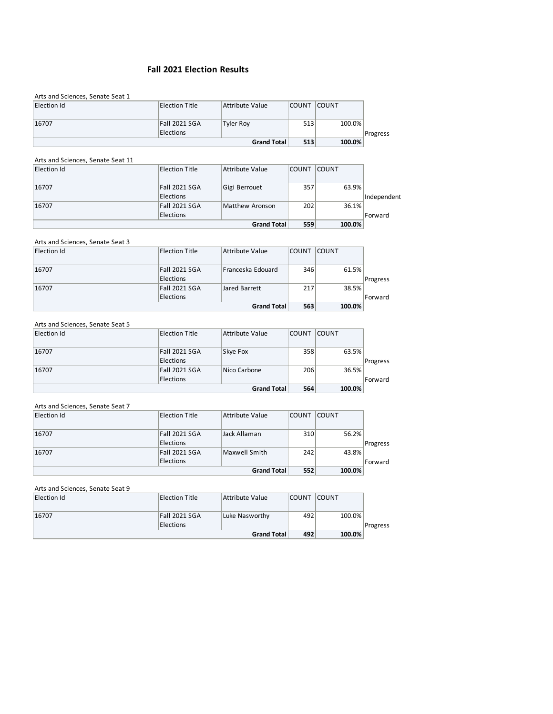# **Fall 2021 Election Results**

| Arts and Sciences, Senate Seat 1 |                       |                    |              |              |          |
|----------------------------------|-----------------------|--------------------|--------------|--------------|----------|
| Election Id                      | <b>Election Title</b> | Attribute Value    | <b>COUNT</b> | <b>COUNT</b> |          |
|                                  |                       |                    |              |              |          |
| 16707                            | <b>Fall 2021 SGA</b>  | <b>Tyler Roy</b>   | 513          | 100.0%       |          |
|                                  | Elections             |                    |              |              | Progress |
|                                  |                       | <b>Grand Total</b> | 513          | 100.0%       |          |

#### Arts and Sciences, Senate Seat 11

| Election Id | <b>Election Title</b> | Attribute Value    | <b>COUNT</b> | <b>COUNT</b> |             |
|-------------|-----------------------|--------------------|--------------|--------------|-------------|
| 16707       | Fall 2021 SGA         | Gigi Berrouet      | 357          | 63.9%        |             |
|             | <b>Elections</b>      |                    |              |              | Independent |
| 16707       | Fall 2021 SGA         | Matthew Aronson    | 202          | 36.1%        |             |
|             | <b>Elections</b>      |                    |              |              | Forward     |
|             |                       | <b>Grand Total</b> | 559          | 100.0%       |             |

#### Arts and Sciences, Senate Seat 3

| Election Id | <b>Election Title</b> | Attribute Value    | <b>COUNT</b> | <b>COUNT</b> |          |
|-------------|-----------------------|--------------------|--------------|--------------|----------|
| 16707       | <b>Fall 2021 SGA</b>  | Franceska Edouard  | 346          | 61.5%        |          |
|             | Elections             |                    |              |              | Progress |
| 16707       | <b>Fall 2021 SGA</b>  | Jared Barrett      | 217          | 38.5%        |          |
|             | Elections             |                    |              |              | Forward  |
|             |                       | <b>Grand Total</b> | 563          | 100.0%       |          |

#### Arts and Sciences, Senate Seat 5

|             |                       | <b>Grand Total</b> | 564          | 100.0%       |          |
|-------------|-----------------------|--------------------|--------------|--------------|----------|
|             | Elections             |                    |              |              | Forward  |
| 16707       | <b>Fall 2021 SGA</b>  | Nico Carbone       | 206          | 36.5%        |          |
|             | Elections             |                    |              |              | Progress |
| 16707       | Fall 2021 SGA         | Skye Fox           | 358          | 63.5%        |          |
| Election Id | <b>Election Title</b> | Attribute Value    | <b>COUNT</b> | <b>COUNT</b> |          |

#### Arts and Sciences, Senate Seat 7

| Election Id | <b>Election Title</b> | Attribute Value | <b>COUNT</b> | <b>COUNT</b> |          |
|-------------|-----------------------|-----------------|--------------|--------------|----------|
| 16707       | Fall 2021 SGA         | Jack Allaman    | 310          | 56.2%        |          |
|             | <b>Elections</b>      |                 |              |              | Progress |
| 16707       | Fall 2021 SGA         | Maxwell Smith   | 242          | 43.8%        |          |
|             | <b>Elections</b>      |                 |              |              | Forward  |
|             |                       | Grand Total     | 552          | 100.0%       |          |

# Arts and Sciences, Senate Seat 9

|             |                       | <b>Grand Total</b> | 492          | 100.0%       |          |
|-------------|-----------------------|--------------------|--------------|--------------|----------|
|             | <b>Elections</b>      |                    |              |              | Progress |
| 16707       | Fall 2021 SGA         | Luke Nasworthy     | 492          | 100.0%       |          |
|             |                       |                    |              |              |          |
| Election Id | <b>Election Title</b> | Attribute Value    | <b>COUNT</b> | <b>COUNT</b> |          |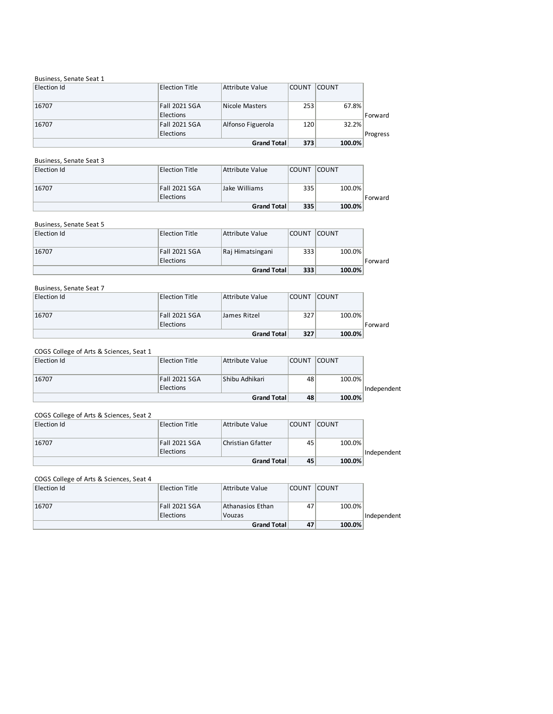#### Business, Senate Seat 1

|             |                  | Grand Total       | 373          | 100.0%       |          |
|-------------|------------------|-------------------|--------------|--------------|----------|
|             | <b>Elections</b> |                   |              |              | Progress |
| 16707       | Fall 2021 SGA    | Alfonso Figuerola | 120          | 32.2%        |          |
|             | <b>Elections</b> |                   |              |              | Forward  |
| 16707       | Fall 2021 SGA    | Nicole Masters    | 253          | 67.8%        |          |
| Election Id | Election Title   | Attribute Value   | <b>COUNT</b> | <b>COUNT</b> |          |

# Business, Senate Seat 3

| Election Id | Election Title   | Attribute Value | <b>COUNT</b> | <b>COUNT</b> |         |
|-------------|------------------|-----------------|--------------|--------------|---------|
| 16707       | Fall 2021 SGA    | Jake Williams   | 335          | 100.0%       |         |
|             | <b>Elections</b> |                 |              |              | Forward |
|             |                  | Grand Total     | 335          | 100.0%       |         |

# Business, Senate Seat 5

| Election Id | <b>Election Title</b> | Attribute Value    | <b>COUNT</b> | <b>COUNT</b> |         |
|-------------|-----------------------|--------------------|--------------|--------------|---------|
| 16707       | Fall 2021 SGA         | Raj Himatsingani   | 333          | 100.0%       |         |
|             | <b>Elections</b>      | <b>Grand Total</b> | 333          | 100.0%       | Forward |

### Business, Senate Seat 7

| Election Id | Election Title   | Attribute Value | <b>COUNT</b> | <b>COUNT</b> |         |
|-------------|------------------|-----------------|--------------|--------------|---------|
|             |                  |                 |              |              |         |
| 16707       | Fall 2021 SGA    | James Ritzel    | 327          | 100.0%       |         |
|             | <b>Elections</b> |                 |              |              | Forward |
|             |                  | Grand Total     | 327          | 100.0%       |         |

# COGS College of Arts & Sciences, Seat 1

| Election Id | <b>Election Title</b> | Attribute Value    | <b>COUNT</b> | <b>COUNT</b> |             |
|-------------|-----------------------|--------------------|--------------|--------------|-------------|
|             |                       |                    |              |              |             |
| 16707       | Fall 2021 SGA         | Shibu Adhikari     | 48           | 100.0%       |             |
|             | Elections             |                    |              |              | Independent |
|             |                       | <b>Grand Total</b> | 48           | 100.0%       |             |

# COGS College of Arts & Sciences, Seat 2

| Election Id | <b>Election Title</b> | Attribute Value   | <b>COUNT</b> | <b>COUNT</b> |             |
|-------------|-----------------------|-------------------|--------------|--------------|-------------|
|             |                       |                   |              |              |             |
| 16707       | Fall 2021 SGA         | Christian Gfatter | 45           | 100.0%       |             |
|             | <b>Elections</b>      |                   |              |              | Independent |
|             |                       | Grand Total       | 45           | 100.0%       |             |

# COGS College of Arts & Sciences, Seat 4

| Election Id | Election Title   | Attribute Value  | <b>COUNT</b> | <b>COUNT</b> |             |
|-------------|------------------|------------------|--------------|--------------|-------------|
|             |                  |                  |              |              |             |
| 16707       | Fall 2021 SGA    | Athanasios Ethan | 47           | 100.0%       |             |
|             | <b>Elections</b> | Vouzas           |              |              | Independent |
|             |                  | Grand Total      | 47           | 100.0%       |             |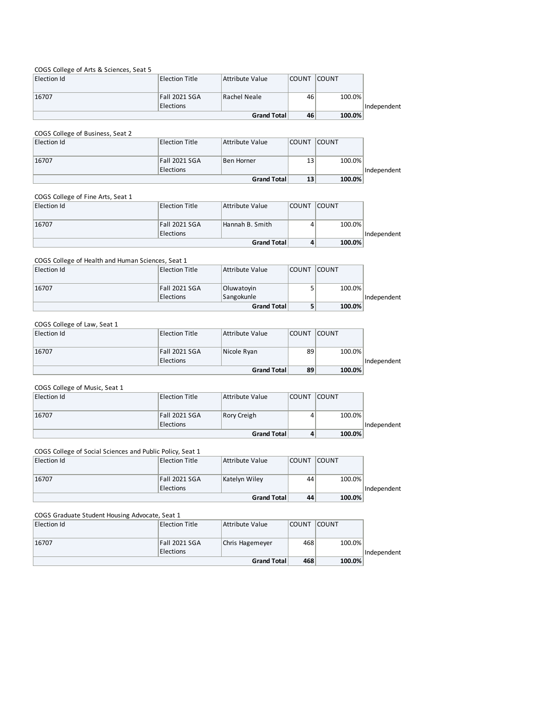# COGS College of Arts & Sciences, Seat 5

| Election Id | Election Title   | Attribute Value | <b>COUNT</b> | <b>COUNT</b> |             |
|-------------|------------------|-----------------|--------------|--------------|-------------|
|             |                  |                 |              |              |             |
| 16707       | Fall 2021 SGA    | Rachel Neale    | 46           | 100.0%       |             |
|             | <b>Elections</b> |                 |              |              | Independent |
|             |                  | Grand Total     | 46           | 100.0%       |             |

#### COGS College of Business, Seat 2 Election Id Election Title Attribute Value COUNT COUNT 16707 Fall 2021 SGA Elections **Ben Horner** 13 100.0% Independent **13 100.0% Grand Total**

#### COGS College of Fine Arts, Seat 1

| Election Id | <b>Election Title</b>             | Attribute Value | <b>COUNT</b> | <b>COUNT</b> |             |
|-------------|-----------------------------------|-----------------|--------------|--------------|-------------|
| 16707       | Fall 2021 SGA<br><b>Elections</b> | Hannah B. Smith |              | 100.0%       | Independent |
|             |                                   | Grand Total     |              | 100.0%       |             |

#### COGS College of Health and Human Sciences, Seat 1

| Election Id | <b>Election Title</b> | Attribute Value | <b>COUNT</b> | <b>COUNT</b> |             |
|-------------|-----------------------|-----------------|--------------|--------------|-------------|
|             |                       |                 |              |              |             |
| 16707       | Fall 2021 SGA         | Oluwatoyin      |              | 100.0%       |             |
|             | Elections             | Sangokunle      |              |              | Independent |
|             |                       | Grand Total     |              | 100.0%       |             |

#### COGS College of Law, Seat 1

|             |                       | Grand Total     | 89           | 100.0%       |             |
|-------------|-----------------------|-----------------|--------------|--------------|-------------|
|             | Elections             |                 |              |              | Independent |
| 16707       | Fall 2021 SGA         | Nicole Ryan     | 89           | 100.0%       |             |
|             |                       |                 |              |              |             |
| Election Id | <b>Election Title</b> | Attribute Value | <b>COUNT</b> | <b>COUNT</b> |             |

#### COGS College of Music, Seat 1

| Election Id | Election Title   | Attribute Value    | <b>COUNT</b> | <b>COUNT</b> |             |
|-------------|------------------|--------------------|--------------|--------------|-------------|
|             |                  |                    |              |              |             |
| 16707       | Fall 2021 SGA    | Rory Creigh        |              | 100.0%       |             |
|             | <b>Elections</b> |                    |              |              | Independent |
|             |                  | <b>Grand Total</b> | 4            | 100.0%       |             |

# COGS College of Social Sciences and Public Policy, Seat 1

| Election Id | Election Title   | Attribute Value    | <b>COUNT</b> | <b>COUNT</b> |             |
|-------------|------------------|--------------------|--------------|--------------|-------------|
|             |                  |                    |              |              |             |
| 16707       | Fall 2021 SGA    | Katelyn Wiley      | 44           | 100.0%       |             |
|             | <b>Elections</b> |                    |              |              | Independent |
|             |                  | <b>Grand Total</b> | 44           | 100.0%       |             |

#### COGS Graduate Student Housing Advocate, Seat 1

| Election Id | Election Title   | Attribute Value | <b>COUNT</b> | <b>COUNT</b> |             |
|-------------|------------------|-----------------|--------------|--------------|-------------|
|             |                  |                 |              |              |             |
| 16707       | Fall 2021 SGA    | Chris Hagemeyer | 468          | 100.0%       |             |
|             | <b>Elections</b> |                 |              |              | Independent |
|             |                  | Grand Total     | 468          | 100.0%       |             |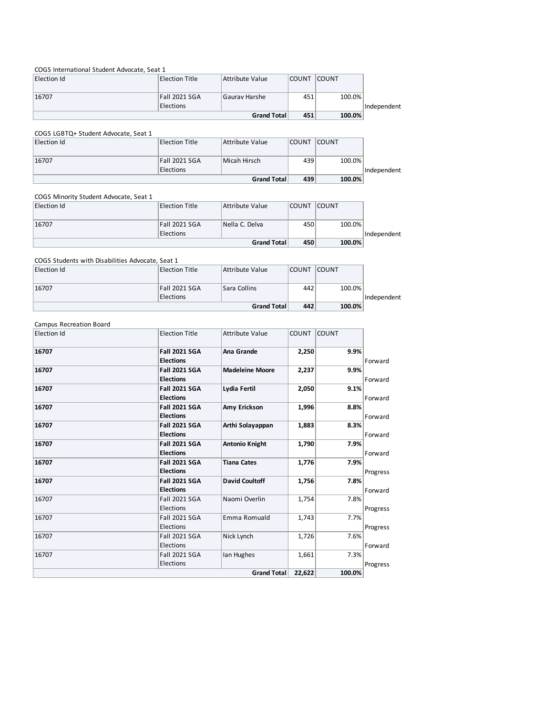#### COGS International Student Advocate, Seat 1

| Election Id | Election Title | Attribute Value    | <b>COUNT</b> | <b>COUNT</b> |             |
|-------------|----------------|--------------------|--------------|--------------|-------------|
|             |                |                    |              |              |             |
| 16707       | Fall 2021 SGA  | Gaurav Harshe      | 451          | 100.0%       |             |
|             | Elections      |                    |              |              | Independent |
|             |                | <b>Grand Total</b> | 451          | 100.0%       |             |

# COGS LGBTQ+ Student Advocate, Seat 1

| Election Id | Election Title   | Attribute Value    | <b>COUNT</b> | <b>COUNT</b> |             |
|-------------|------------------|--------------------|--------------|--------------|-------------|
| 16707       | Fall 2021 SGA    | Micah Hirsch       | 439          | 100.0%       |             |
|             | <b>Elections</b> |                    |              |              | Independent |
|             |                  | <b>Grand Total</b> | 439          | 100.0%       |             |

#### COGS Minority Student Advocate, Seat 1

|             |                  | <b>Grand Total</b> | 450          | 100.0%       |             |
|-------------|------------------|--------------------|--------------|--------------|-------------|
|             | <b>Elections</b> |                    |              |              | Independent |
| 16707       | Fall 2021 SGA    | Nella C. Delva     | 450          | 100.0%       |             |
|             |                  |                    |              |              |             |
| Election Id | Election Title   | Attribute Value    | <b>COUNT</b> | <b>COUNT</b> |             |

#### COGS Students with Disabilities Advocate, Seat 1

| Election Id | Election Title   | Attribute Value    | <b>COUNT</b> | <b>COUNT</b> |             |
|-------------|------------------|--------------------|--------------|--------------|-------------|
| 16707       | Fall 2021 SGA    | Sara Collins       | 442          | 100.0%       |             |
|             | <b>Elections</b> |                    |              |              | Independent |
|             |                  | <b>Grand Total</b> | 442          | 100.0%       |             |

#### Campus Recreation Board

| <b>Election Id</b> | <b>Election Title</b> | <b>Attribute Value</b> | <b>COUNT</b> | <b>COUNT</b> |          |
|--------------------|-----------------------|------------------------|--------------|--------------|----------|
| 16707              | <b>Fall 2021 SGA</b>  | Ana Grande             | 2,250        | 9.9%         |          |
|                    | <b>Elections</b>      |                        |              |              | Forward  |
| 16707              | <b>Fall 2021 SGA</b>  | <b>Madeleine Moore</b> | 2,237        | 9.9%         |          |
|                    | <b>Elections</b>      |                        |              |              | Forward  |
| 16707              | <b>Fall 2021 SGA</b>  | Lydia Fertil           | 2,050        | 9.1%         |          |
|                    | <b>Elections</b>      |                        |              |              | Forward  |
| 16707              | <b>Fall 2021 SGA</b>  | Amy Erickson           | 1,996        | 8.8%         |          |
|                    | <b>Elections</b>      |                        |              |              | Forward  |
| 16707              | <b>Fall 2021 SGA</b>  | Arthi Solayappan       | 1,883        | 8.3%         |          |
|                    | <b>Elections</b>      |                        |              |              | Forward  |
| 16707              | <b>Fall 2021 SGA</b>  | <b>Antonio Knight</b>  | 1,790        | 7.9%         |          |
|                    | <b>Elections</b>      |                        |              |              | Forward  |
| 16707              | <b>Fall 2021 SGA</b>  | <b>Tiana Cates</b>     | 1,776        | 7.9%         |          |
|                    | <b>Elections</b>      |                        |              |              | Progress |
| 16707              | <b>Fall 2021 SGA</b>  | <b>David Coultoff</b>  | 1,756        | 7.8%         |          |
|                    | <b>Elections</b>      |                        |              |              | Forward  |
| 16707              | <b>Fall 2021 SGA</b>  | Naomi Overlin          | 1,754        | 7.8%         |          |
|                    | Elections             |                        |              |              | Progress |
| 16707              | <b>Fall 2021 SGA</b>  | Emma Romuald           | 1,743        | 7.7%         |          |
|                    | Elections             |                        |              |              | Progress |
| 16707              | <b>Fall 2021 SGA</b>  | Nick Lynch             | 1,726        | 7.6%         |          |
|                    | Elections             |                        |              |              | Forward  |
| 16707              | <b>Fall 2021 SGA</b>  | Ian Hughes             | 1,661        | 7.3%         |          |
|                    | Elections             |                        |              |              | Progress |
|                    |                       | <b>Grand Total</b>     | 22,622       | 100.0%       |          |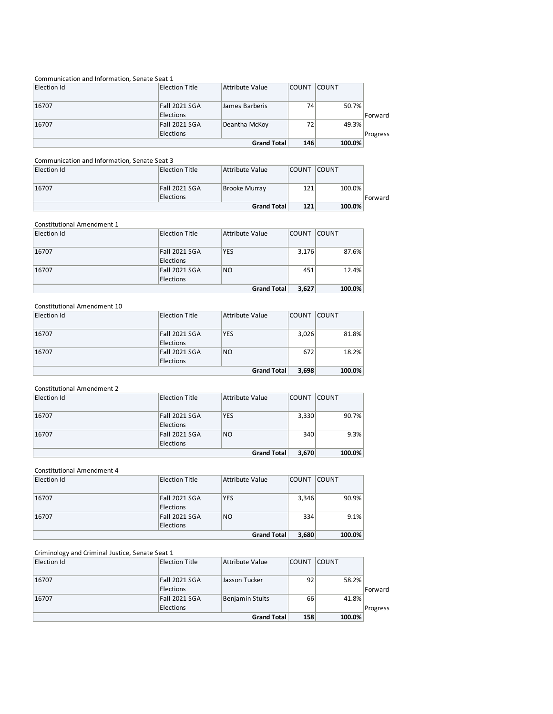| Communication and Information, Senate Seat 1 |                                   |                 |              |               |          |
|----------------------------------------------|-----------------------------------|-----------------|--------------|---------------|----------|
| Election Id                                  | <b>Election Title</b>             | Attribute Value | <b>COUNT</b> | <b>COUNT</b>  |          |
| 16707                                        | <b>Fall 2021 SGA</b><br>Elections | James Barberis  | 74           | 50.7%         | Forward  |
| 16707                                        | Fall 2021 SGA<br>Elections        | Deantha McKoy   | 72           | 49.3%         | Progress |
| <b>Grand Total</b>                           |                                   |                 |              | 100.0%<br>146 |          |

# Communication and Information, Senate Seat 3

| Election Id | Election Title   | Attribute Value | <b>COUNT</b> | <b>COUNT</b> |         |
|-------------|------------------|-----------------|--------------|--------------|---------|
|             |                  |                 |              |              |         |
| 16707       | Fall 2021 SGA    | Brooke Murray   | 121          | 100.0%       |         |
|             | <b>Elections</b> |                 |              |              | Forward |
|             |                  | Grand Total     | 121          | 100.0%       |         |

#### Constitutional Amendment 1

| Election Id | <b>Election Title</b> | Attribute Value | <b>COUNT</b> | <b>COUNT</b> |
|-------------|-----------------------|-----------------|--------------|--------------|
| 16707       | Fall 2021 SGA         | <b>YES</b>      | 3,176        | 87.6%        |
|             | Elections             |                 |              |              |
| 16707       | Fall 2021 SGA         | <b>NO</b>       | 451          | 12.4%        |
|             | Elections             |                 |              |              |
|             |                       | Grand Total     | 3,627        | 100.0%       |

#### Constitutional Amendment 10

| Election Id | <b>Election Title</b> | Attribute Value    | <b>COUNT</b> | <b>COUNT</b> |  |
|-------------|-----------------------|--------------------|--------------|--------------|--|
|             |                       |                    |              |              |  |
| 16707       | Fall 2021 SGA         | <b>YES</b>         | 3,026        | 81.8%        |  |
|             | <b>Elections</b>      |                    |              |              |  |
| 16707       | Fall 2021 SGA         | N <sub>O</sub>     | 672          | 18.2%        |  |
|             | <b>Elections</b>      |                    |              |              |  |
|             |                       | <b>Grand Total</b> | 3,698        | 100.0%       |  |

### Constitutional Amendment 2

| 90.7%<br>9.3% |
|---------------|
|               |
|               |
|               |
|               |
|               |

#### Constitutional Amendment 4

| Election Id | <b>Election Title</b> | Attribute Value | <b>COUNT</b> | <b>COUNT</b> |
|-------------|-----------------------|-----------------|--------------|--------------|
|             |                       |                 |              |              |
| 16707       | <b>Fall 2021 SGA</b>  | <b>YES</b>      | 3,346        | 90.9%        |
|             | Elections             |                 |              |              |
| 16707       | Fall 2021 SGA         | N <sub>O</sub>  | 334          | 9.1%         |
|             | <b>Elections</b>      |                 |              |              |
|             |                       | Grand Total     | 3,680        | 100.0%       |

# Criminology and Criminal Justice, Senate Seat 1

| Election Id | <b>Election Title</b>     | Attribute Value | <b>COUNT</b> | <b>COUNT</b> |          |
|-------------|---------------------------|-----------------|--------------|--------------|----------|
|             |                           |                 |              |              |          |
| 16707       | <b>Fall 2021 SGA</b>      | Jaxson Tucker   | 92           | 58.2%        |          |
|             | Elections                 |                 |              |              | Forward  |
| 16707       | <b>Fall 2021 SGA</b>      | Benjamin Stults | 66           | 41.8%        |          |
|             | Elections                 |                 |              |              | Progress |
|             | 158<br><b>Grand Total</b> | 100.0%          |              |              |          |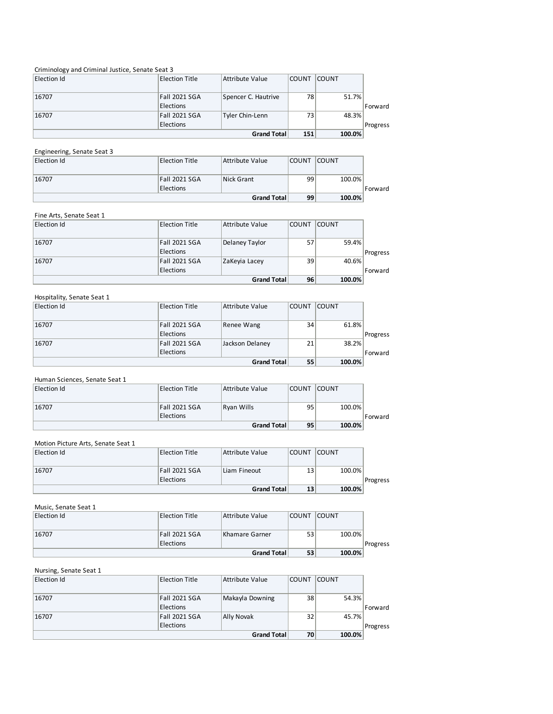# Criminology and Criminal Justice, Senate Seat 3

| Election Id | <b>Election Title</b>     | Attribute Value     | <b>COUNT</b> | <b>COUNT</b> |          |
|-------------|---------------------------|---------------------|--------------|--------------|----------|
|             |                           |                     |              |              |          |
| 16707       | Fall 2021 SGA             | Spencer C. Hautrive | 78           | 51.7%        |          |
|             | Elections                 |                     |              |              | Forward  |
| 16707       | <b>Fall 2021 SGA</b>      | Tyler Chin-Lenn     | 73           | 48.3%        |          |
|             | Elections                 |                     |              |              | Progress |
|             | 151<br><b>Grand Total</b> | 100.0%              |              |              |          |

# Engineering, Senate Seat 3

| Election Id | <b>Election Title</b>             | Attribute Value    | <b>COUNT</b> | <b>COUNT</b> |         |
|-------------|-----------------------------------|--------------------|--------------|--------------|---------|
| 16707       | Fall 2021 SGA<br><b>Elections</b> | Nick Grant         | 99           | 100.0%       | Forward |
|             |                                   | <b>Grand Total</b> | 99           | 100.0%       |         |

# Fine Arts, Senate Seat 1

| Election Id        | <b>Election Title</b> | Attribute Value | <b>COUNT</b> | <b>COUNT</b> |          |
|--------------------|-----------------------|-----------------|--------------|--------------|----------|
| 16707              | <b>Fall 2021 SGA</b>  | Delaney Taylor  | 57           | 59.4%        |          |
|                    | Elections             |                 |              |              | Progress |
| 16707              | <b>Fall 2021 SGA</b>  | ZaKeyia Lacey   | 39           | 40.6%        |          |
|                    | Elections             |                 |              |              | Forward  |
| <b>Grand Total</b> |                       |                 |              | 96<br>100.0% |          |

| Hospitality, Senate Seat 1 |                                   |                 |              |              |          |
|----------------------------|-----------------------------------|-----------------|--------------|--------------|----------|
| Election Id                | <b>Election Title</b>             | Attribute Value | <b>COUNT</b> | <b>COUNT</b> |          |
| 16707                      | <b>Fall 2021 SGA</b><br>Elections | Renee Wang      | 34           | 61.8%        | Progress |
| 16707                      | <b>Fall 2021 SGA</b><br>Elections | Jackson Delaney | 21           | 38.2%        | Forward  |
| <b>Grand Total</b>         |                                   |                 |              | 55<br>100.0% |          |

Human Sciences, Senate Seat 1

| Election Id | Election Title   | Attribute Value    | <b>COUNT</b> | <b>COUNT</b> |         |
|-------------|------------------|--------------------|--------------|--------------|---------|
|             |                  |                    |              |              |         |
| 16707       | Fall 2021 SGA    | Ryan Wills         | 95           | 100.0%       |         |
|             | <b>Elections</b> |                    |              |              | Forward |
|             |                  | <b>Grand Total</b> | 95           | 100.0%       |         |

#### Motion Picture Arts, Senate Seat 1

| Election Id | Election Title | Attribute Value | <b>COUNT</b> | <b>COUNT</b> |          |
|-------------|----------------|-----------------|--------------|--------------|----------|
|             |                |                 |              |              |          |
| 16707       | Fall 2021 SGA  | Liam Fineout    | 13           | 100.0%       |          |
|             | Elections      |                 |              |              | Progress |
|             |                | Grand Total     | 13           | 100.0%       |          |

# Music, Senate Seat 1

| Election Id | Election Title   | Attribute Value    | <b>COUNT</b> | <b>COUNT</b> |          |
|-------------|------------------|--------------------|--------------|--------------|----------|
|             |                  |                    |              |              |          |
| 16707       | Fall 2021 SGA    | Khamare Garner     | 53           | 100.0%       |          |
|             | <b>Elections</b> |                    |              |              | Progress |
|             |                  | <b>Grand Total</b> | 53           | 100.0%       |          |

# Nursing, Senate Seat 1

| Election Id | <b>Election Title</b> | Attribute Value    | <b>COUNT</b> | <b>COUNT</b> |          |
|-------------|-----------------------|--------------------|--------------|--------------|----------|
| 16707       | <b>Fall 2021 SGA</b>  | Makayla Downing    | 38           | 54.3%        |          |
|             | Elections             |                    |              |              | Forward  |
| 16707       | <b>Fall 2021 SGA</b>  | Ally Novak         | 32           | 45.7%        |          |
|             | Elections             |                    |              |              | Progress |
|             |                       | <b>Grand Total</b> | 70           | 100.0%       |          |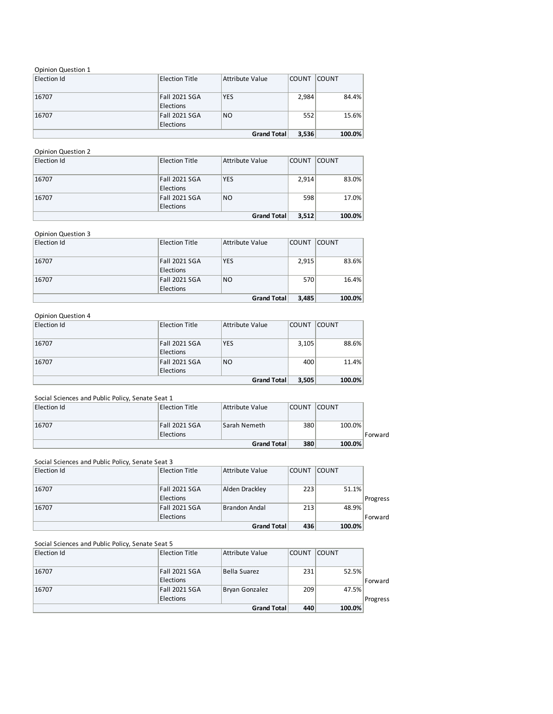# Opinion Question 1

| Election Id | <b>Election Title</b> | Attribute Value    | <b>COUNT</b> | <b>COUNT</b> |
|-------------|-----------------------|--------------------|--------------|--------------|
|             |                       |                    |              |              |
| 16707       | <b>Fall 2021 SGA</b>  | <b>YES</b>         | 2,984        | 84.4%        |
|             | Elections             |                    |              |              |
| 16707       | <b>Fall 2021 SGA</b>  | <b>NO</b>          | 552          | 15.6%        |
|             | Elections             |                    |              |              |
|             |                       | <b>Grand Total</b> | 3,536        | 100.0%       |

# Opinion Question 2

| Election Id | <b>Election Title</b> | Attribute Value | <b>COUNT</b> | <b>COUNT</b> |
|-------------|-----------------------|-----------------|--------------|--------------|
|             |                       |                 |              |              |
| 16707       | Fall 2021 SGA         | <b>YES</b>      | 2,914        | 83.0%        |
|             | Elections             |                 |              |              |
| 16707       | Fall 2021 SGA         | <b>NO</b>       | 598          | 17.0%        |
|             | Elections             |                 |              |              |
|             |                       | Grand Total     | 3,512        | 100.0%       |

# Opinion Question 3

| Election Id | <b>Election Title</b> | Attribute Value | <b>COUNT</b> | <b>COUNT</b> |
|-------------|-----------------------|-----------------|--------------|--------------|
|             |                       |                 |              |              |
| 16707       | <b>Fall 2021 SGA</b>  | <b>YES</b>      | 2,915        | 83.6%        |
|             | Elections             |                 |              |              |
| 16707       | <b>Fall 2021 SGA</b>  | N <sub>O</sub>  | 570          | 16.4%        |
|             | Elections             |                 |              |              |
|             |                       | Grand Total     | 3,485        | 100.0%       |

# Opinion Question 4

| Election Id | <b>Election Title</b> | Attribute Value | <b>COUNT</b> | <b>COUNT</b> |
|-------------|-----------------------|-----------------|--------------|--------------|
|             |                       |                 |              |              |
| 16707       | <b>Fall 2021 SGA</b>  | <b>YES</b>      | 3,105        | 88.6%        |
|             | Elections             |                 |              |              |
| 16707       | Fall 2021 SGA         | <b>NO</b>       | 400          | 11.4%        |
|             | Elections             |                 |              |              |
|             |                       | Grand Total     | 3,505        | 100.0%       |

# Social Sciences and Public Policy, Senate Seat 1

| Election Id | Election Title | Attribute Value     | <b>COUNT</b> | <b>COUNT</b> |         |
|-------------|----------------|---------------------|--------------|--------------|---------|
| 16707       | Fall 2021 SGA  | <b>Sarah Nemeth</b> | 380          | 100.0%       |         |
|             | Elections      |                     |              |              | Forward |
|             |                | Grand Total         | 380          | 100.0%       |         |

#### Social Sciences and Public Policy, Senate Seat 3

| 16707       | <b>Fall 2021 SGA</b><br>Elections | Brandon Andal   | 213          | 48.9%        | Forward  |
|-------------|-----------------------------------|-----------------|--------------|--------------|----------|
|             | Elections                         |                 |              |              | Progress |
| 16707       | <b>Fall 2021 SGA</b>              | Alden Drackley  | 223          | 51.1%        |          |
| Election Id | <b>Election Title</b>             | Attribute Value | <b>COUNT</b> | <b>COUNT</b> |          |

#### Social Sciences and Public Policy, Senate Seat 5

| Election Id | <b>Election Title</b>     | Attribute Value | <b>COUNT</b> | <b>COUNT</b> |          |  |  |
|-------------|---------------------------|-----------------|--------------|--------------|----------|--|--|
|             |                           |                 |              |              |          |  |  |
| 16707       | Fall 2021 SGA             | Bella Suarez    | 231          | 52.5%        |          |  |  |
|             | <b>Elections</b>          |                 |              |              | Forward  |  |  |
| 16707       | Fall 2021 SGA             | Bryan Gonzalez  | 209          | 47.5%        |          |  |  |
|             | <b>Elections</b>          |                 |              |              | Progress |  |  |
|             | 440<br><b>Grand Total</b> | 100.0%          |              |              |          |  |  |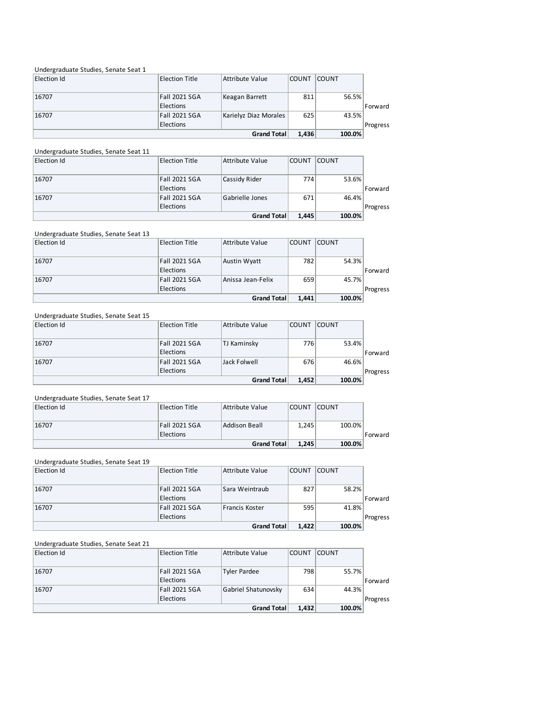# Undergraduate Studies, Senate Seat 1

| Election Id | <b>Election Title</b>       | Attribute Value       | <b>COUNT</b> | <b>COUNT</b> |          |
|-------------|-----------------------------|-----------------------|--------------|--------------|----------|
|             |                             |                       |              |              |          |
| 16707       | Fall 2021 SGA               | Keagan Barrett        | 811          | 56.5%        |          |
|             | Elections                   |                       |              |              | Forward  |
| 16707       | <b>Fall 2021 SGA</b>        | Karielyz Diaz Morales | 625          | 43.5%        |          |
|             | Elections                   |                       |              |              | Progress |
|             | 1.436<br><b>Grand Total</b> | 100.0%                |              |              |          |

#### Undergraduate Studies, Senate Seat 11

| Election Id | Election Title              | Attribute Value | <b>COUNT</b> | <b>COUNT</b> |          |
|-------------|-----------------------------|-----------------|--------------|--------------|----------|
| 16707       | Fall 2021 SGA               | Cassidy Rider   | 774          | 53.6%        |          |
|             | <b>Elections</b>            |                 |              |              | Forward  |
| 16707       | Fall 2021 SGA               | Gabrielle Jones | 671          | 46.4%        |          |
|             | Elections                   |                 |              |              | Progress |
|             | 1.445<br><b>Grand Total</b> | 100.0%          |              |              |          |

# Undergraduate Studies, Senate Seat 13

|             |                  | <b>Grand Total</b> | 1.441        | 100.0%       |          |
|-------------|------------------|--------------------|--------------|--------------|----------|
|             | <b>Elections</b> |                    |              |              | Progress |
| 16707       | Fall 2021 SGA    | Anissa Jean-Felix  | 659          | 45.7%        |          |
|             | <b>Elections</b> |                    |              |              | Forward  |
| 16707       | Fall 2021 SGA    | Austin Wyatt       | 782          | 54.3%        |          |
| Election Id | Election Title   | Attribute Value    | <b>COUNT</b> | <b>COUNT</b> |          |

#### Undergraduate Studies, Senate Seat 15

| Election Id | <b>Election Title</b> | Attribute Value | <b>COUNT</b> | <b>COUNT</b> |          |
|-------------|-----------------------|-----------------|--------------|--------------|----------|
|             |                       |                 |              |              |          |
| 16707       | Fall 2021 SGA         | TJ Kaminsky     | 776          | 53.4%        |          |
|             | <b>Elections</b>      |                 |              |              | Forward  |
| 16707       | Fall 2021 SGA         | Jack Folwell    | 676          | 46.6%        |          |
|             | <b>Elections</b>      |                 |              |              | Progress |
|             | Grand Total<br>1.452  | 100.0%          |              |              |          |

#### Undergraduate Studies, Senate Seat 17

| Election Id | Election Title | Attribute Value | <b>COUNT</b> | <b>COUNT</b> |         |
|-------------|----------------|-----------------|--------------|--------------|---------|
| 16707       | Fall 2021 SGA  | Addison Beall   | 1.245        | 100.0%       |         |
|             | Elections      |                 |              |              | Forward |
|             |                | Grand Total     | 1.245        | 100.0%       |         |

#### Undergraduate Studies, Senate Seat 19

| Election Id | Election Title              | Attribute Value | <b>COUNT</b> | <b>COUNT</b> |          |
|-------------|-----------------------------|-----------------|--------------|--------------|----------|
| 16707       | <b>Fall 2021 SGA</b>        | Sara Weintraub  | 827          | 58.2%        |          |
|             | Elections                   |                 |              |              | Forward  |
| 16707       | <b>Fall 2021 SGA</b>        | Francis Koster  | 595          | 41.8%        |          |
|             | Elections                   |                 |              |              | Progress |
|             | 1.422<br><b>Grand Total</b> | 100.0%          |              |              |          |

# Undergraduate Studies, Senate Seat 21

| Election Id | <b>Election Title</b> | Attribute Value     | <b>COUNT</b> | <b>COUNT</b> |          |
|-------------|-----------------------|---------------------|--------------|--------------|----------|
| 16707       | Fall 2021 SGA         | <b>Tyler Pardee</b> | 798          | 55.7%        |          |
|             | <b>Elections</b>      |                     |              |              | Forward  |
| 16707       | Fall 2021 SGA         | Gabriel Shatunovsky | 634          | 44.3%        |          |
|             | <b>Elections</b>      |                     |              |              | Progress |
|             |                       | <b>Grand Total</b>  | 1.432        | 100.0%       |          |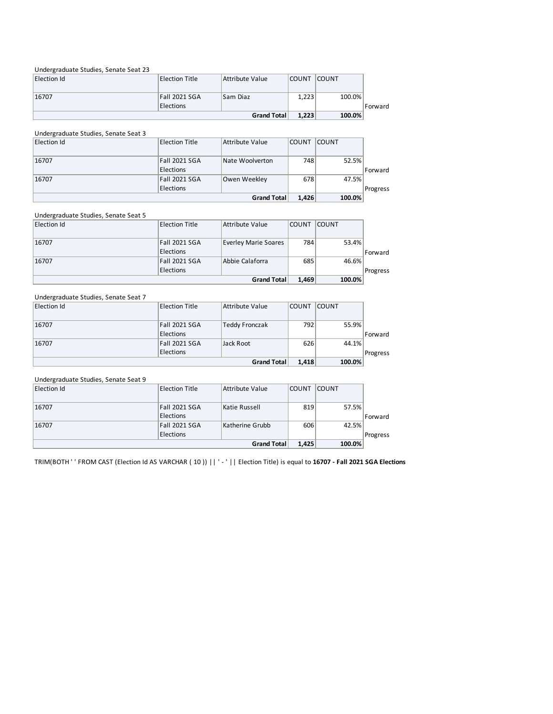#### Undergraduate Studies, Senate Seat 23

| Election Id | Election Title   | Attribute Value | <b>COUNT</b> | <b>COUNT</b> |         |
|-------------|------------------|-----------------|--------------|--------------|---------|
|             |                  |                 |              |              |         |
| 16707       | Fall 2021 SGA    | Sam Diaz        | 1.223        | 100.0%       |         |
|             | <b>Elections</b> |                 |              |              | Forward |
|             |                  | Grand Total     | 1,223        | 100.0%       |         |

| Undergraduate Studies, Senate Seat 3 |                       |                 |              |                 |          |
|--------------------------------------|-----------------------|-----------------|--------------|-----------------|----------|
| Election Id                          | <b>Election Title</b> | Attribute Value | <b>COUNT</b> | <b>COUNT</b>    |          |
|                                      |                       |                 |              |                 |          |
| 16707                                | <b>Fall 2021 SGA</b>  | Nate Woolverton | 748          | 52.5%           |          |
|                                      | Elections             |                 |              |                 | Forward  |
| 16707                                | <b>Fall 2021 SGA</b>  | Owen Weekley    | 678          | 47.5%           |          |
|                                      | Elections             |                 |              |                 | Progress |
| <b>Grand Total</b>                   |                       |                 |              | 100.0%<br>1.426 |          |

# Undergraduate Studies, Senate Seat 5

| Election Id | <b>Election Title</b>       | Attribute Value      | <b>COUNT</b> | <b>COUNT</b> |          |
|-------------|-----------------------------|----------------------|--------------|--------------|----------|
| 16707       | Fall 2021 SGA               | Everley Marie Soares | 784          | 53.4%        |          |
|             | Elections                   |                      |              |              | Forward  |
| 16707       | Fall 2021 SGA               | Abbie Calaforra      | 685          | 46.6%        |          |
|             | Elections                   |                      |              |              | Progress |
|             | <b>Grand Total</b><br>1.469 | 100.0%               |              |              |          |

| Undergraduate Studies, Senate Seat 7 |                       |                 |              |                 |          |
|--------------------------------------|-----------------------|-----------------|--------------|-----------------|----------|
| Election Id                          | <b>Election Title</b> | Attribute Value | <b>COUNT</b> | <b>COUNT</b>    |          |
|                                      |                       |                 |              |                 |          |
| 16707                                | <b>Fall 2021 SGA</b>  | Teddy Fronczak  | 792          | 55.9%           |          |
|                                      | Elections             |                 |              |                 | Forward  |
| 16707                                | <b>Fall 2021 SGA</b>  | Jack Root       | 626          | 44.1%           |          |
|                                      | Elections             |                 |              |                 | Progress |
| <b>Grand Total</b>                   |                       |                 |              | 100.0%<br>1,418 |          |

#### Undergraduate Studies, Senate Seat 9

| Election Id | <b>Election Title</b> | Attribute Value | <b>COUNT</b> | <b>COUNT</b> |          |
|-------------|-----------------------|-----------------|--------------|--------------|----------|
|             |                       |                 |              |              |          |
| 16707       | Fall 2021 SGA         | Katie Russell   | 819          | 57.5%        |          |
|             | Elections             |                 |              |              | Forward  |
| 16707       | Fall 2021 SGA         | Katherine Grubb | 606          | 42.5%        |          |
|             | Elections             |                 |              |              | Progress |
|             | Grand Total           |                 |              |              |          |

TRIM(BOTH ' ' FROM CAST (Election Id AS VARCHAR ( 10 )) || ' - ' || Election Title) is equal to **16707 - Fall 2021 SGA Elections**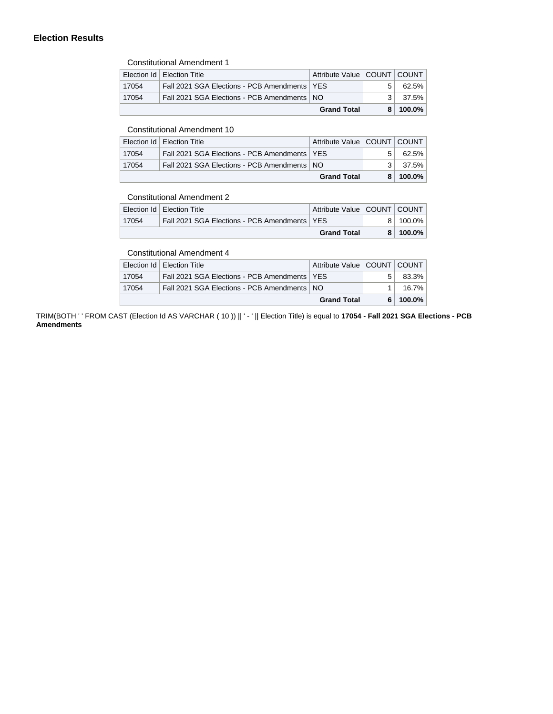# **Election Results**

Constitutional Amendment 1

|       |                                                | <b>Grand Total</b>              |                | $8 100.0\%$ |
|-------|------------------------------------------------|---------------------------------|----------------|-------------|
| 17054 | Fall 2021 SGA Elections - PCB Amendments   NO  |                                 | 3 <sup>1</sup> | 37.5%       |
| 17054 | Fall 2021 SGA Elections - PCB Amendments   YES |                                 |                | 62.5%       |
|       | Election Id   Election Title                   | Attribute Value   COUNT   COUNT |                |             |

# Constitutional Amendment 10

|                    | Election Id   Election Title                   | Attribute Value   COUNT   COUNT |       |
|--------------------|------------------------------------------------|---------------------------------|-------|
| 17054              | Fall 2021 SGA Elections - PCB Amendments   YES |                                 | 62.5% |
| 17054              | Fall 2021 SGA Elections - PCB Amendments   NO  |                                 | 37.5% |
| <b>Grand Total</b> |                                                | 100.0%                          |       |

#### Constitutional Amendment 2

|       |                                                | <b>Grand Total</b>              | 8 | $100.0\%$ |
|-------|------------------------------------------------|---------------------------------|---|-----------|
| 17054 | Fall 2021 SGA Elections - PCB Amendments   YES |                                 |   | 100.0%    |
|       | Election Id   Election Title                   | Attribute Value   COUNT   COUNT |   |           |
|       | CONSULTURION RESIDENCE                         |                                 |   |           |

# Constitutional Amendment 4

|                    | Election Id   Election Title                   | Attribute Value   COUNT   COUNT |       |
|--------------------|------------------------------------------------|---------------------------------|-------|
| 17054              | Fall 2021 SGA Elections - PCB Amendments   YES |                                 | 83.3% |
| 17054              | Fall 2021 SGA Elections - PCB Amendments   NO  |                                 | 16.7% |
| <b>Grand Total</b> |                                                | 100.0%                          |       |

TRIM(BOTH ' ' FROM CAST (Election Id AS VARCHAR ( 10 )) || ' - ' || Election Title) is equal to 17054 - Fall 2021 SGA Elections - PCB **Amendments**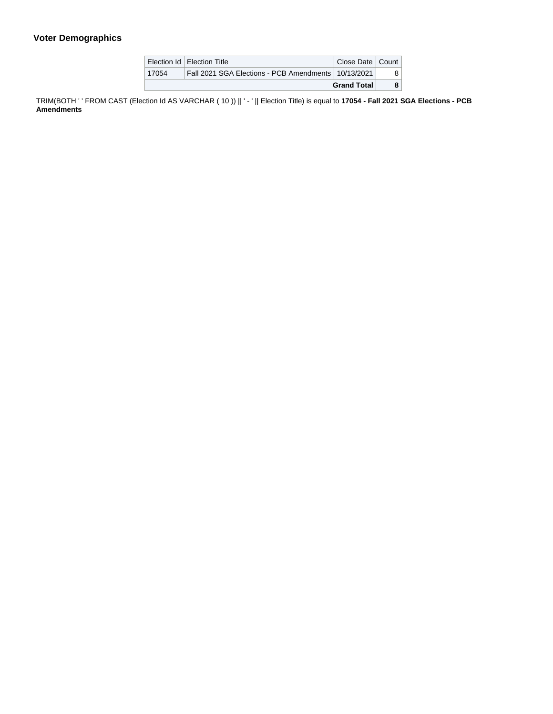# **Voter Demographics**

|                    | Election Id   Election Title                          | Close Date   Count |  |
|--------------------|-------------------------------------------------------|--------------------|--|
| 17054              | Fall 2021 SGA Elections - PCB Amendments   10/13/2021 |                    |  |
| <b>Grand Total</b> |                                                       |                    |  |

TRIM(BOTH ' ' FROM CAST (Election Id AS VARCHAR ( 10 )) || ' - ' || Election Title) is equal to **17054 - Fall 2021 SGA Elections - PCB Amendments**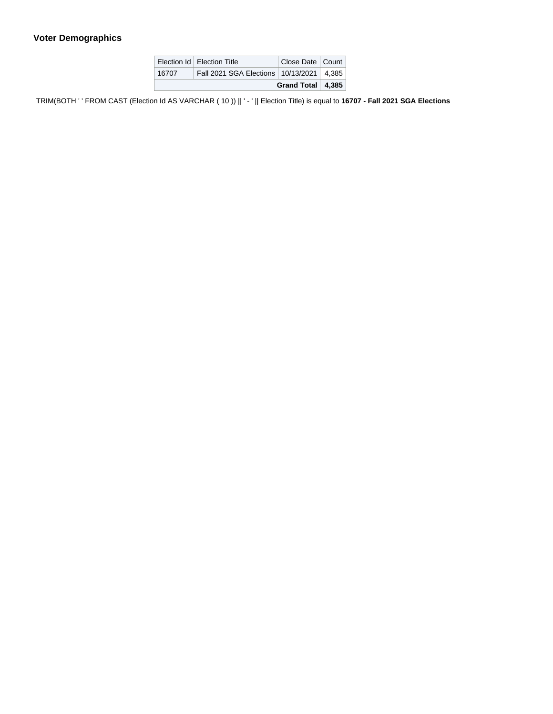# **Voter Demographics**

| Grand Total   4,385 |                                              |                    |  |
|---------------------|----------------------------------------------|--------------------|--|
| 16707               | Fall 2021 SGA Elections   10/13/2021   4,385 |                    |  |
|                     | Election Id   Election Title                 | Close Date   Count |  |

TRIM(BOTH ' ' FROM CAST (Election Id AS VARCHAR ( 10 )) || ' - ' || Election Title) is equal to 16707 - Fall 2021 SGA Elections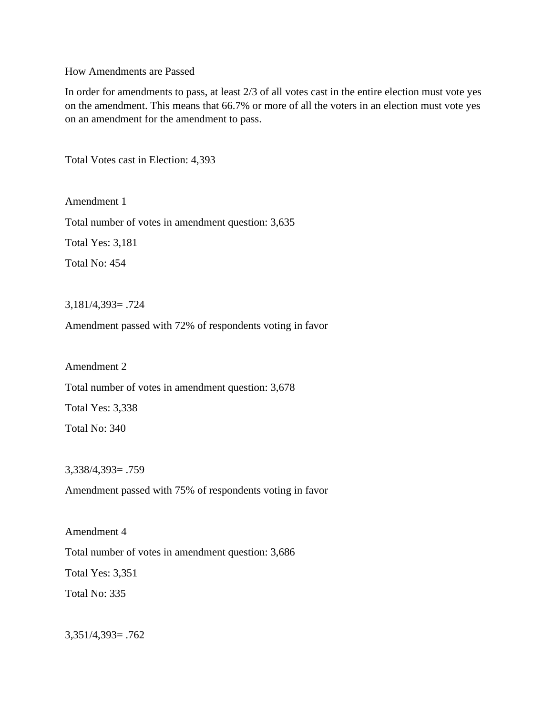How Amendments are Passed

In order for amendments to pass, at least 2/3 of all votes cast in the entire election must vote yes on the amendment. This means that 66.7% or more of all the voters in an election must vote yes on an amendment for the amendment to pass.

Total Votes cast in Election: 4,393

Amendment 1 Total number of votes in amendment question: 3,635 Total Yes: 3,181

Total No: 454

3,181/4,393= .724

Amendment passed with 72% of respondents voting in favor

Amendment 2 Total number of votes in amendment question: 3,678 Total Yes: 3,338 Total No: 340

3,338/4,393= .759

Amendment passed with 75% of respondents voting in favor

Amendment 4 Total number of votes in amendment question: 3,686 Total Yes: 3,351 Total No: 335

3,351/4,393= .762